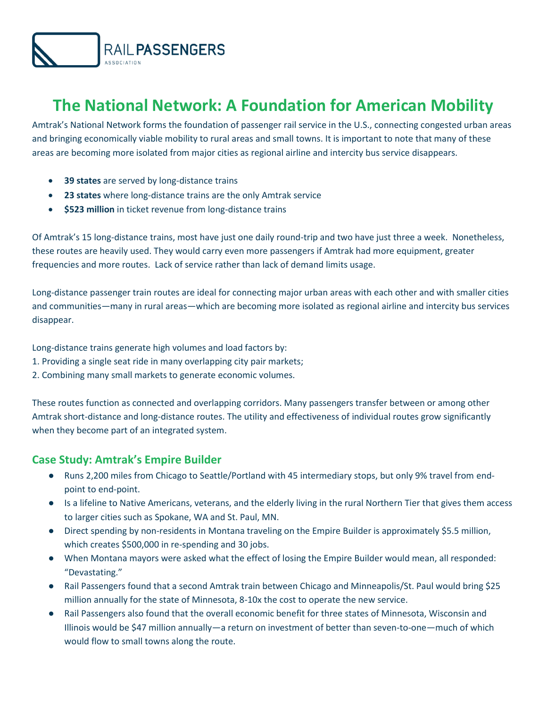

# **The National Network: A Foundation for American Mobility**

Amtrak's National Network forms the foundation of passenger rail service in the U.S., connecting congested urban areas and bringing economically viable mobility to rural areas and small towns. It is important to note that many of these areas are becoming more isolated from major cities as regional airline and intercity bus service disappears.

- **39 states** are served by long-distance trains
- **23 states** where long-distance trains are the only Amtrak service
- **\$523 million** in ticket revenue from long-distance trains

Of Amtrak's 15 long-distance trains, most have just one daily round-trip and two have just three a week. Nonetheless, these routes are heavily used. They would carry even more passengers if Amtrak had more equipment, greater frequencies and more routes. Lack of service rather than lack of demand limits usage.

Long-distance passenger train routes are ideal for connecting major urban areas with each other and with smaller cities and communities—many in rural areas—which are becoming more isolated as regional airline and intercity bus services disappear.

Long-distance trains generate high volumes and load factors by:

- 1. Providing a single seat ride in many overlapping city pair markets;
- 2. Combining many small markets to generate economic volumes.

These routes function as connected and overlapping corridors. Many passengers transfer between or among other Amtrak short-distance and long-distance routes. The utility and effectiveness of individual routes grow significantly when they become part of an integrated system.

## **Case Study: Amtrak's Empire Builder**

- Runs 2,200 miles from Chicago to Seattle/Portland with 45 intermediary stops, but only 9% travel from endpoint to end-point.
- Is a lifeline to Native Americans, veterans, and the elderly living in the rural Northern Tier that gives them access to larger cities such as Spokane, WA and St. Paul, MN.
- Direct spending by non-residents in Montana traveling on the Empire Builder is approximately \$5.5 million, which creates \$500,000 in re-spending and 30 jobs.
- When Montana mayors were asked what the effect of losing the Empire Builder would mean, all responded: "Devastating."
- Rail Passengers found that a second Amtrak train between Chicago and Minneapolis/St. Paul would bring \$25 million annually for the state of Minnesota, 8-10x the cost to operate the new service.
- Rail Passengers also found that the overall economic benefit for three states of Minnesota, Wisconsin and Illinois would be \$47 million annually—a return on investment of better than seven-to-one—much of which would flow to small towns along the route.